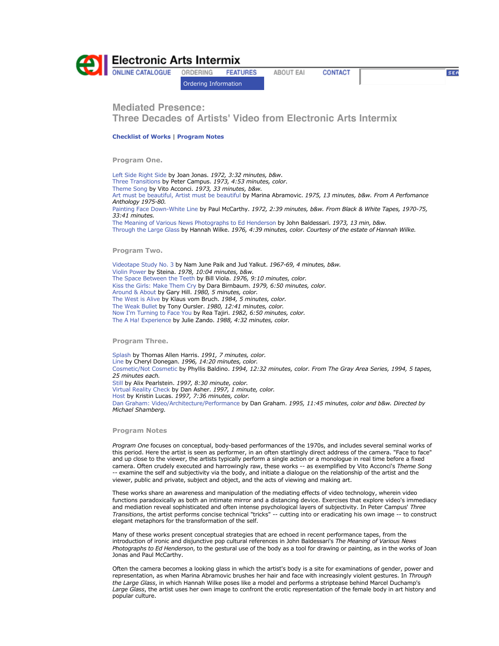

ORDERING **FEATURES** 

Ordering Information

**ABOUT EAI CONTACT**  **SEA** 

**Mediated Presence: Three Decades of Artists' Video from Electronic Arts Intermix** 

**Checklist of Works** | **Program Notes**

**Program One.**

Left Side Right Side by Joan Jonas. *1972, 3:32 minutes, b&w*. Three Transitions by Peter Campus. *1973, 4:53 minutes, color*. Theme Song by Vito Acconci. *1973, 33 minutes, b&w.* Art must be beautiful, Artist must be beautiful by Marina Abramovic. *1975, 13 minutes, b&w. From A Perfomance Anthology 1975-80.* Painting Face Down-White Line by Paul McCarthy. *1972, 2:39 minutes, b&w. From Black & White Tapes, 1970-75, 33:41 minutes.* The Meaning of Various News Photographs to Ed Henderson by John Baldessari. *1973, 13 min, b&w.*  Through the Large Glass by Hannah Wilke. *1976, 4:39 minutes, color. Courtesy of the estate of Hannah Wilke.* 

**Program Two.**

Videotape Study No. 3 by Nam June Paik and Jud Yalkut. *1967-69, 4 minutes, b&w.*  Violin Power by Steina. *1978, 10:04 minutes, b&w.*  The Space Between the Teeth by Bill Viola. *1976, 9:10 minutes, color.*  Kiss the Girls: Make Them Cry by Dara Birnbaum. *1979, 6:50 minutes, color.*  Around & About by Gary Hill. *1980, 5 minutes, color.*  The West is Alive by Klaus vom Bruch. *1984, 5 minutes, color.*  The Weak Bullet by Tony Oursler. *1980, 12:41 minutes, color.*  Now I'm Turning to Face You by Rea Tajiri. *1982, 6:50 minutes, color.* The A Ha! Experience by Julie Zando. *1988, 4:32 minutes, color.* 

**Program Three.**

Splash by Thomas Allen Harris. *1991, 7 minutes, color.*  Line by Cheryl Donegan. *1996, 14:20 minutes, color.*  Cosmetic/Not Cosmetic by Phyllis Baldino. *1994, 12:32 minutes, color. From The Gray Area Series, 1994, 5 tapes, 25 minutes each.*  Still by Alix Pearlstein. *1997, 8:30 minute, color.*  Virtual Reality Check by Dan Asher. *1997, 1 minute, color.*  Host by Kristin Lucas. *1997, 7:36 minutes, color.*  Dan Graham: Video/Architecture/Performance by Dan Graham. *1995, 11:45 minutes, color and b&w. Directed by Michael Shamberg.* 

## **Program Notes**

*Program One* focuses on conceptual, body-based performances of the 1970s, and includes several seminal works of this period. Here the artist is seen as performer, in an often startlingly direct address of the camera. "Face to face" and up close to the viewer, the artists typically perform a single action or a monologue in real time before a fixed camera. Often crudely executed and harrowingly raw, these works -- as exemplified by Vito Acconci's *Theme Song* -- examine the self and subjectivity via the body, and initiate a dialogue on the relationship of the artist and the viewer, public and private, subject and object, and the acts of viewing and making art.

These works share an awareness and manipulation of the mediating effects of video technology, wherein video functions paradoxically as both an intimate mirror and a distancing device. Exercises that explore video's immediacy and mediation reveal sophisticated and often intense psychological layers of subjectivity. In Peter Campus' *Three Transitions*, the artist performs concise technical "tricks" -- cutting into or eradicating his own image -- to construct elegant metaphors for the transformation of the self.

Many of these works present conceptual strategies that are echoed in recent performance tapes, from the introduction of ironic and disjunctive pop cultural references in John Baldessari's *The Meaning of Various News Photographs to Ed Henderson*, to the gestural use of the body as a tool for drawing or painting, as in the works of Joan Jonas and Paul McCarthy.

Often the camera becomes a looking glass in which the artist's body is a site for examinations of gender, power and representation, as when Marina Abramovic brushes her hair and face with increasingly violent gestures. In *Through the Large Glass*, in which Hannah Wilke poses like a model and performs a striptease behind Marcel Duchamp's *Large Glass*, the artist uses her own image to confront the erotic representation of the female body in art history and popular culture.